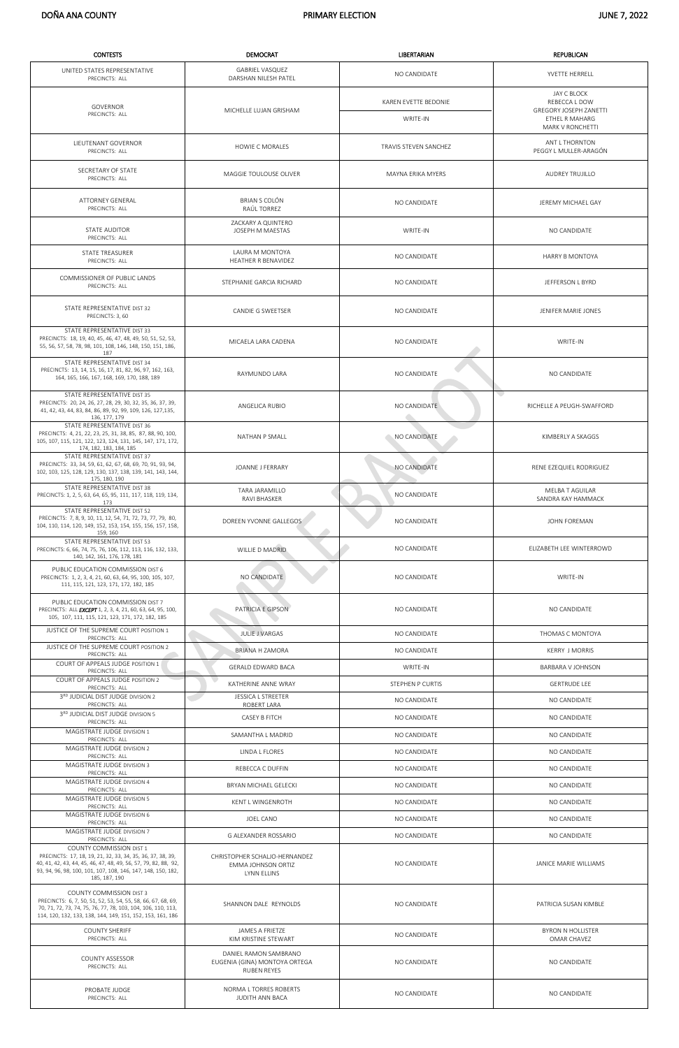| <b>CONTESTS</b>                                                                                                                                                                                                                            | <b>DEMOCRAT</b>                                                              | <b>LIBERTARIAN</b>               | <b>REPUBLICAN</b>                                                                                   |
|--------------------------------------------------------------------------------------------------------------------------------------------------------------------------------------------------------------------------------------------|------------------------------------------------------------------------------|----------------------------------|-----------------------------------------------------------------------------------------------------|
| UNITED STATES REPRESENTATIVE<br>PRECINCTS: ALL                                                                                                                                                                                             | <b>GABRIEL VASQUEZ</b><br>DARSHAN NILESH PATEL                               | NO CANDIDATE                     | YVETTE HERRELL                                                                                      |
| GOVERNOR<br>PRECINCTS: ALL                                                                                                                                                                                                                 | MICHELLE LUJAN GRISHAM                                                       | KAREN EVETTE BEDONIE<br>WRITE-IN | JAY C BLOCK<br>REBECCA L DOW<br><b>GREGORY JOSEPH ZANETTI</b><br>ETHEL R MAHARG<br>MARK V RONCHETTI |
| LIEUTENANT GOVERNOR<br>PRECINCTS: ALL                                                                                                                                                                                                      | <b>HOWIE C MORALES</b>                                                       | TRAVIS STEVEN SANCHEZ            | ANT L THORNTON<br>PEGGY L MULLER-ARAGÓN                                                             |
| SECRETARY OF STATE<br>PRECINCTS: ALL                                                                                                                                                                                                       | MAGGIE TOULOUSE OLIVER                                                       | MAYNA ERIKA MYERS                | AUDREY TRUJILLO                                                                                     |
| <b>ATTORNEY GENERAL</b><br>PRECINCTS: ALL                                                                                                                                                                                                  | BRIAN S COLÓN<br>RAÚL TORREZ                                                 | NO CANDIDATE                     | JEREMY MICHAEL GAY                                                                                  |
| STATE AUDITOR<br>PRECINCTS: ALL                                                                                                                                                                                                            | ZACKARY A QUINTERO<br>JOSEPH M MAESTAS                                       | WRITE-IN                         | NO CANDIDATE                                                                                        |
| <b>STATE TREASURER</b><br>PRECINCTS: ALL                                                                                                                                                                                                   | LAURA M MONTOYA<br>HEATHER R BENAVIDEZ                                       | NO CANDIDATE                     | HARRY B MONTOYA                                                                                     |
| COMMISSIONER OF PUBLIC LANDS<br>PRECINCTS: ALL                                                                                                                                                                                             | STEPHANIE GARCIA RICHARD                                                     | NO CANDIDATE                     | JEFFERSON L BYRD                                                                                    |
| STATE REPRESENTATIVE DIST 32<br>PRECINCTS: 3, 60                                                                                                                                                                                           | CANDIE G SWEETSER                                                            | NO CANDIDATE                     | JENIFER MARIE JONES                                                                                 |
| STATE REPRESENTATIVE DIST 33<br>PRECINCTS: 18, 19, 40, 45, 46, 47, 48, 49, 50, 51, 52, 53,<br>55, 56, 57, 58, 78, 98, 101, 108, 146, 148, 150, 151, 186,<br>187                                                                            | MICAELA LARA CADENA                                                          | NO CANDIDATE                     | WRITE-IN                                                                                            |
| STATE REPRESENTATIVE DIST 34<br>PRECINCTS: 13, 14, 15, 16, 17, 81, 82, 96, 97, 162, 163,<br>164, 165, 166, 167, 168, 169, 170, 188, 189                                                                                                    | RAYMUNDO LARA                                                                | NO CANDIDATE                     | NO CANDIDATE                                                                                        |
| STATE REPRESENTATIVE DIST 35<br>PRECINCTS: 20, 24, 26, 27, 28, 29, 30, 32, 35, 36, 37, 39,<br>41, 42, 43, 44, 83, 84, 86, 89, 92, 99, 109, 126, 127, 135,<br>136, 177, 179                                                                 | ANGELICA RUBIO                                                               | NO CANDIDATE                     | v.<br>RICHELLE A PEUGH-SWAFFORD                                                                     |
| STATE REPRESENTATIVE DIST 36<br>PRECINCTS: 4, 21, 22, 23, 25, 31, 38, 85, 87, 88, 90, 100,<br>105, 107, 115, 121, 122, 123, 124, 131, 145, 147, 171, 172,<br>174, 182, 183, 184, 185                                                       | NATHAN P SMALL                                                               | NO CANDIDATE                     | KIMBERLY A SKAGGS                                                                                   |
| STATE REPRESENTATIVE DIST 37<br>PRECINCTS: 33, 34, 59, 61, 62, 67, 68, 69, 70, 91, 93, 94,<br>102, 103, 125, 128, 129, 130, 137, 138, 139, 141, 143, 144,<br>175, 180, 190                                                                 | JOANNE J FERRARY                                                             | NO CANDIDATE                     | RENE EZEQUIEL RODRIGUEZ                                                                             |
| STATE REPRESENTATIVE DIST 38<br>PRECINCTS: 1, 2, 5, 63, 64, 65, 95, 111, 117, 118, 119, 134,<br>173                                                                                                                                        | <b>TARA JARAMILLO</b><br>RAVI BHASKER                                        | NO CANDIDATE                     | MELBA T AGUILAR<br>SANDRA KAY HAMMACK                                                               |
| STATE REPRESENTATIVE DIST 52<br>PRECINCTS: 7, 8, 9, 10, 11, 12, 54, 71, 72, 73, 77, 79, 80,<br>104, 110, 114, 120, 149, 152, 153, 154, 155, 156, 157, 158,<br>159, 160                                                                     | DOREEN YVONNE GALLEGOS                                                       | NO CANDIDATE                     | JOHN FOREMAN                                                                                        |
| STATE REPRESENTATIVE DIST 53<br>PRECINCTS: 6, 66, 74, 75, 76, 106, 112, 113, 116, 132, 133,<br>140, 142, 161, 176, 178, 181                                                                                                                | WILLIE D MADRID                                                              | NO CANDIDATE                     | ELIZABETH LEE WINTERROWD                                                                            |
| PUBLIC EDUCATION COMMISSION DIST 6<br>PRECINCTS: 1, 2, 3, 4, 21, 60, 63, 64, 95, 100, 105, 107,<br>111, 115, 121, 123, 171, 172, 182, 185                                                                                                  | NO CANDIDATE                                                                 | NO CANDIDATE                     | WRITE-IN                                                                                            |
| PUBLIC EDUCATION COMMISSION DIST 7<br>PRECINCTS: ALL <b>EXCEPT</b> 1, 2, 3, 4, 21, 60, 63, 64, 95, 100,<br>105, 107, 111, 115, 121, 123, 171, 172, 182, 185                                                                                | PATRICIA E GIPSON                                                            | NO CANDIDATE                     | NO CANDIDATE                                                                                        |
| JUSTICE OF THE SUPREME COURT POSITION 1<br>PRECINCTS: ALL                                                                                                                                                                                  | <b>JULIE J VARGAS</b>                                                        | NO CANDIDATE                     | THOMAS C MONTOYA                                                                                    |
| JUSTICE OF THE SUPREME COURT POSITION 2<br>PRECINCTS: ALL                                                                                                                                                                                  | <b>BRIANA H ZAMORA</b>                                                       | NO CANDIDATE                     | <b>KERRY J MORRIS</b>                                                                               |
| COURT OF APPEALS JUDGE POSITION 1<br>PRECINCTS: ALL                                                                                                                                                                                        | <b>GERALD EDWARD BACA</b>                                                    | WRITE-IN                         | BARBARA V JOHNSON                                                                                   |
| COURT OF APPEALS JUDGE POSITION 2<br>PRECINCTS: ALL                                                                                                                                                                                        | KATHERINE ANNE WRAY                                                          | STEPHEN P CURTIS                 | <b>GERTRUDE LEE</b>                                                                                 |
| 3RD JUDICIAL DIST JUDGE DIVISION 2<br>PRECINCTS: ALL                                                                                                                                                                                       | JESSICA L STREETER<br>ROBERT LARA                                            | NO CANDIDATE                     | NO CANDIDATE                                                                                        |
| 3RD JUDICIAL DIST JUDGE DIVISION 5<br>PRECINCTS: ALL                                                                                                                                                                                       | CASEY B FITCH                                                                | NO CANDIDATE                     | NO CANDIDATE                                                                                        |
| MAGISTRATE JUDGE DIVISION 1<br>PRECINCTS: ALL                                                                                                                                                                                              | SAMANTHA L MADRID                                                            | NO CANDIDATE                     | NO CANDIDATE                                                                                        |
| MAGISTRATE JUDGE DIVISION 2<br>PRECINCTS: ALL                                                                                                                                                                                              | LINDA L FLORES                                                               | NO CANDIDATE                     | NO CANDIDATE                                                                                        |
| MAGISTRATE JUDGE DIVISION 3<br>PRECINCTS: ALL                                                                                                                                                                                              | REBECCA C DUFFIN                                                             | NO CANDIDATE                     | NO CANDIDATE                                                                                        |
| MAGISTRATE JUDGE DIVISION 4<br>PRECINCTS: ALL                                                                                                                                                                                              | BRYAN MICHAEL GELECKI                                                        | NO CANDIDATE                     | NO CANDIDATE                                                                                        |
| MAGISTRATE JUDGE DIVISION 5<br>PRECINCTS: ALL                                                                                                                                                                                              | KENT L WINGENROTH                                                            | NO CANDIDATE                     | NO CANDIDATE                                                                                        |
| MAGISTRATE JUDGE DIVISION 6<br>PRECINCTS: ALL                                                                                                                                                                                              | JOEL CANO                                                                    | NO CANDIDATE                     | NO CANDIDATE                                                                                        |
| MAGISTRATE JUDGE DIVISION 7<br>PRECINCTS: ALL                                                                                                                                                                                              | G ALEXANDER ROSSARIO                                                         | NO CANDIDATE                     | NO CANDIDATE                                                                                        |
| COUNTY COMMISSION DIST 1<br>PRECINCTS: 17, 18, 19, 21, 32, 33, 34, 35, 36, 37, 38, 39,<br>40, 41, 42, 43, 44, 45, 46, 47, 48, 49, 56, 57, 79, 82, 88, 92,<br>93, 94, 96, 98, 100, 101, 107, 108, 146, 147, 148, 150, 182,<br>185, 187, 190 | CHRISTOPHER SCHALJO-HERNANDEZ<br><b>EMMA JOHNSON ORTIZ</b><br>LYNN ELLINS    | NO CANDIDATE                     | JANICE MARIE WILLIAMS                                                                               |
| <b>COUNTY COMMISSION DIST 3</b><br>PRECINCTS: 6, 7, 50, 51, 52, 53, 54, 55, 58, 66, 67, 68, 69,<br>70, 71, 72, 73, 74, 75, 76, 77, 78, 103, 104, 106, 110, 113,<br>114, 120, 132, 133, 138, 144, 149, 151, 152, 153, 161, 186              | SHANNON DALE REYNOLDS                                                        | NO CANDIDATE                     | PATRICIA SUSAN KIMBLE                                                                               |
| <b>COUNTY SHERIFF</b><br>PRECINCTS: ALL                                                                                                                                                                                                    | JAMES A FRIETZE<br>KIM KRISTINE STEWART                                      | NO CANDIDATE                     | <b>BYRON N HOLLISTER</b><br>OMAR CHAVEZ                                                             |
| <b>COUNTY ASSESSOR</b><br>PRECINCTS: ALL                                                                                                                                                                                                   | DANIEL RAMON SAMBRANO<br>EUGENIA (GINA) MONTOYA ORTEGA<br><b>RUBEN REYES</b> | NO CANDIDATE                     | NO CANDIDATE                                                                                        |
| PROBATE JUDGE<br>PRECINCTS: ALL                                                                                                                                                                                                            | NORMA L TORRES ROBERTS<br>JUDITH ANN BACA                                    | NO CANDIDATE                     | NO CANDIDATE                                                                                        |